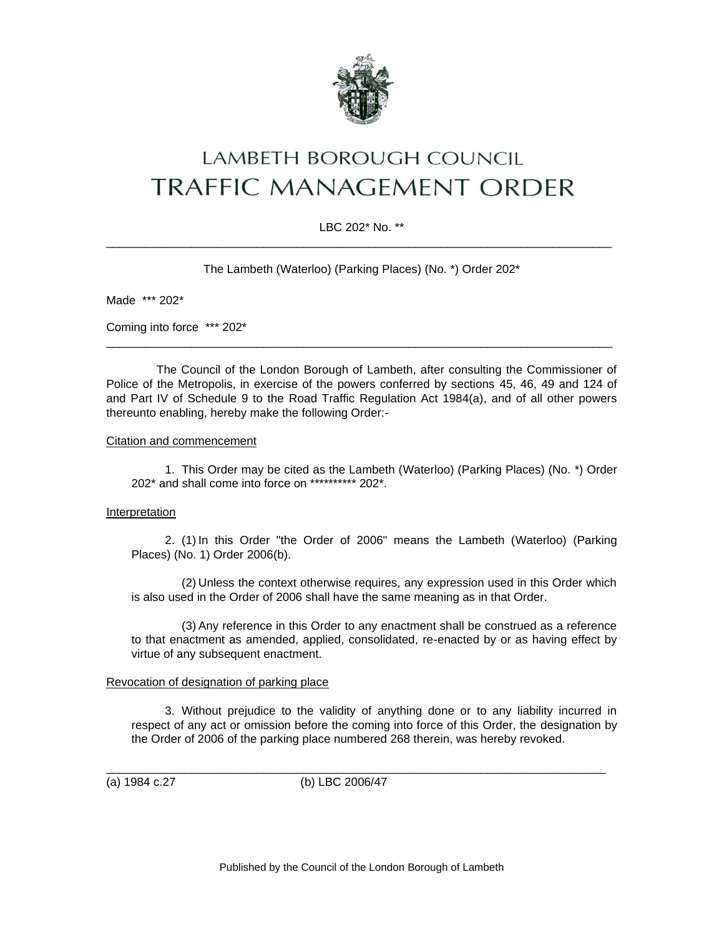

# LAMBETH BOROUGH COUNCIL **TRAFFIC MANAGEMENT ORDER**

## LBC 202\* No. \*\* \_\_\_\_\_\_\_\_\_\_\_\_\_\_\_\_\_\_\_\_\_\_\_\_\_\_\_\_\_\_\_\_\_\_\_\_\_\_\_\_\_\_\_\_\_\_\_\_\_\_\_\_\_\_\_\_\_\_\_\_\_\_\_\_\_\_\_\_\_\_\_\_\_\_\_\_\_

The Lambeth (Waterloo) (Parking Places) (No. \*) Order 202\*

Made \*\*\* 202\*

Coming into force \*\*\* 202\*

The Council of the London Borough of Lambeth, after consulting the Commissioner of Police of the Metropolis, in exercise of the powers conferred by sections 45, 46, 49 and 124 of and Part IV of Schedule 9 to the Road Traffic Regulation Act 1984(a), and of all other powers thereunto enabling, hereby make the following Order:-

\_\_\_\_\_\_\_\_\_\_\_\_\_\_\_\_\_\_\_\_\_\_\_\_\_\_\_\_\_\_\_\_\_\_\_\_\_\_\_\_\_\_\_\_\_\_\_\_\_\_\_\_\_\_\_\_\_\_\_\_\_\_\_\_\_\_\_\_\_\_\_\_\_\_\_\_\_

#### Citation and commencement

1. This Order may be cited as the Lambeth (Waterloo) (Parking Places) (No. \*) Order 202\* and shall come into force on \*\*\*\*\*\*\*\*\*\* 202\*.

#### Interpretation

2. (1) In this Order "the Order of 2006" means the Lambeth (Waterloo) (Parking Places) (No. 1) Order 2006(b).

(2) Unless the context otherwise requires, any expression used in this Order which is also used in the Order of 2006 shall have the same meaning as in that Order.

(3) Any reference in this Order to any enactment shall be construed as a reference to that enactment as amended, applied, consolidated, re-enacted by or as having effect by virtue of any subsequent enactment.

#### Revocation of designation of parking place

3. Without prejudice to the validity of anything done or to any liability incurred in respect of any act or omission before the coming into force of this Order, the designation by the Order of 2006 of the parking place numbered 268 therein, was hereby revoked.

(a) 1984 c.27 (b) LBC 2006/47

\_\_\_\_\_\_\_\_\_\_\_\_\_\_\_\_\_\_\_\_\_\_\_\_\_\_\_\_\_\_\_\_\_\_\_\_\_\_\_\_\_\_\_\_\_\_\_\_\_\_\_\_\_\_\_\_\_\_\_\_\_\_\_\_\_\_\_\_\_\_\_\_\_\_\_\_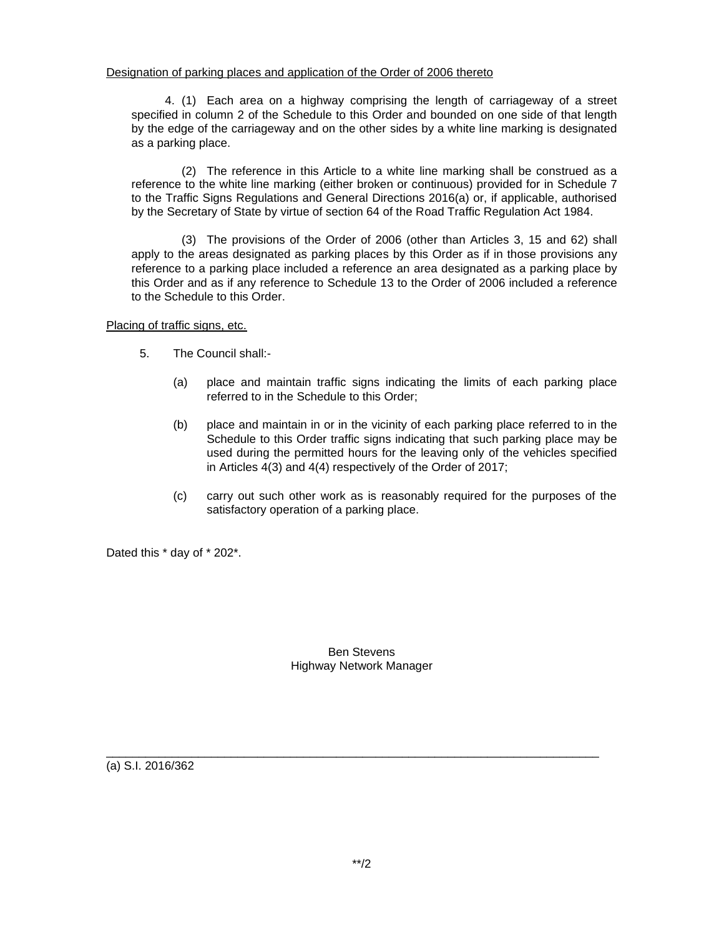### Designation of parking places and application of the Order of 2006 thereto

4. (1) Each area on a highway comprising the length of carriageway of a street specified in column 2 of the Schedule to this Order and bounded on one side of that length by the edge of the carriageway and on the other sides by a white line marking is designated as a parking place.

(2) The reference in this Article to a white line marking shall be construed as a reference to the white line marking (either broken or continuous) provided for in Schedule 7 to the Traffic Signs Regulations and General Directions 2016(a) or, if applicable, authorised by the Secretary of State by virtue of section 64 of the Road Traffic Regulation Act 1984.

(3) The provisions of the Order of 2006 (other than Articles 3, 15 and 62) shall apply to the areas designated as parking places by this Order as if in those provisions any reference to a parking place included a reference an area designated as a parking place by this Order and as if any reference to Schedule 13 to the Order of 2006 included a reference to the Schedule to this Order.

Placing of traffic signs, etc.

- 5. The Council shall:-
	- (a) place and maintain traffic signs indicating the limits of each parking place referred to in the Schedule to this Order;
	- (b) place and maintain in or in the vicinity of each parking place referred to in the Schedule to this Order traffic signs indicating that such parking place may be used during the permitted hours for the leaving only of the vehicles specified in Articles 4(3) and 4(4) respectively of the Order of 2017;
	- (c) carry out such other work as is reasonably required for the purposes of the satisfactory operation of a parking place.

Dated this \* day of \* 202\*.

#### Ben Stevens Highway Network Manager

\_\_\_\_\_\_\_\_\_\_\_\_\_\_\_\_\_\_\_\_\_\_\_\_\_\_\_\_\_\_\_\_\_\_\_\_\_\_\_\_\_\_\_\_\_\_\_\_\_\_\_\_\_\_\_\_\_\_\_\_\_\_\_\_\_\_\_\_\_\_\_\_\_\_\_

(a) S.I. 2016/362